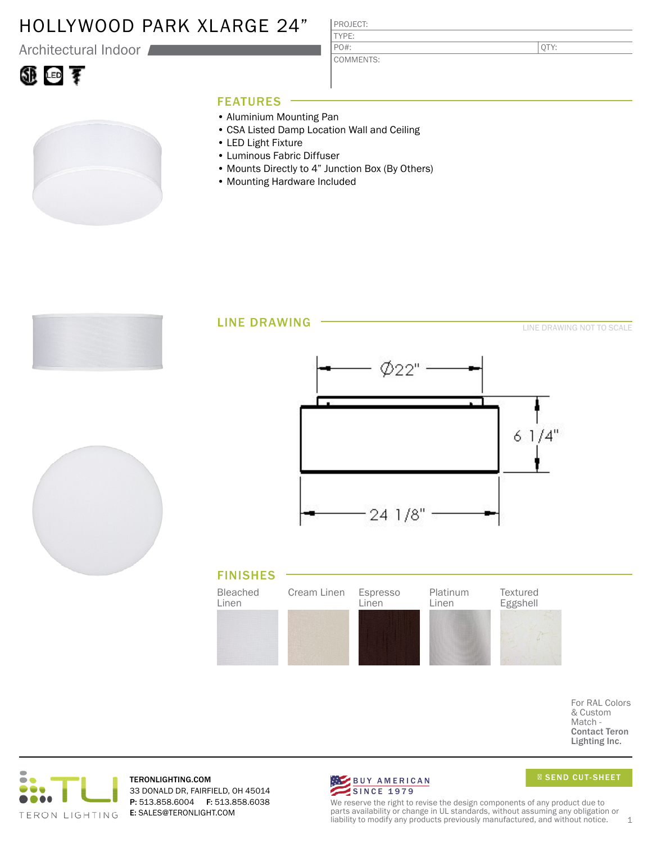### HOLLYWOOD PARK XLARGE 24"

Architectural Indoor

## ①回す

### PROJECT: TYPE:

COMMENTS: PO#:

QTY:

### FEATURES

- Aluminium Mounting Pan
- CSA Listed Damp Location Wall and Ceiling
- LED Light Fixture
- Luminous Fabric Diffuser
- Mounts Directly to 4" Junction Box (By Others)
- Mounting Hardware Included



For RAL Colors & Custom Match - Contact Teron Lighting Inc.



TERONLIGHTING.COM 33 DONALD DR, FAIRFIELD, OH 45014 P: 513.858.6004 F: 513.858.6038 E: SALES@TERONLIGHT.COM



SEND CUT-SHEET

We reserve the right to revise the design components of any product due to parts availability or change in UL standards, without assuming any obligation or liability to modify any products previously manufactured, and without notice.  $1$